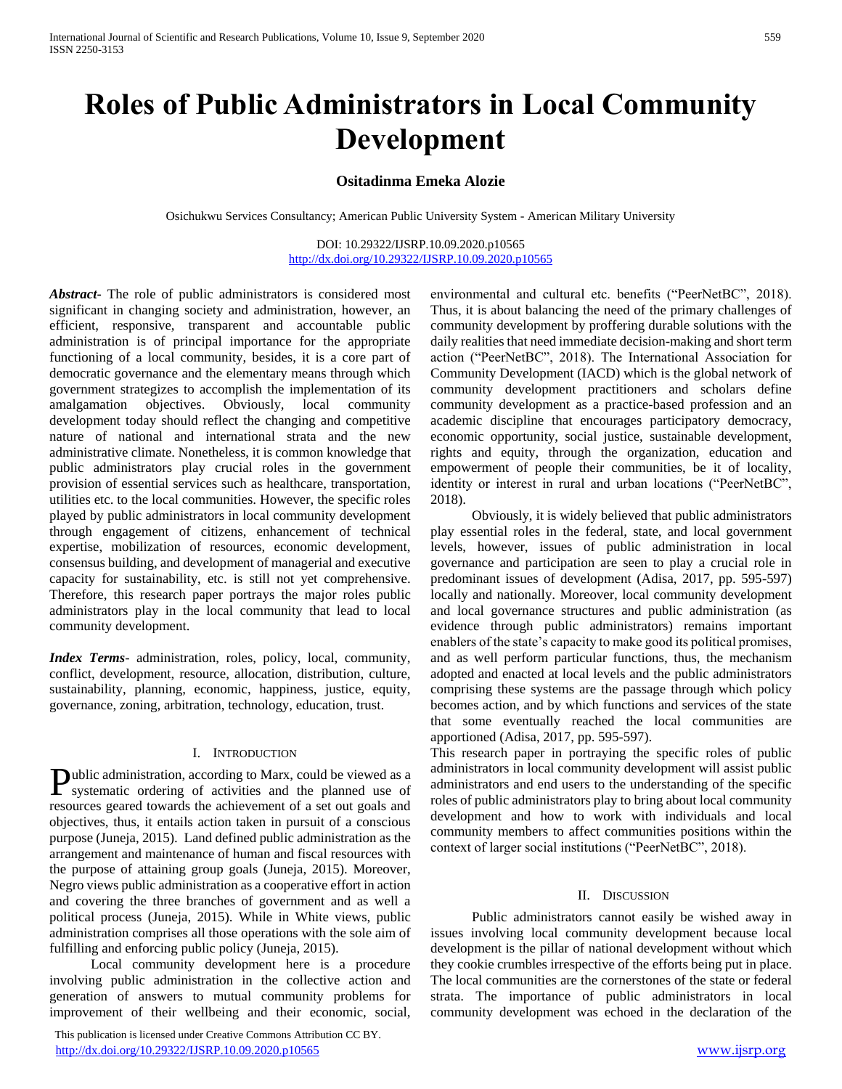# **Roles of Public Administrators in Local Community Development**

# **Ositadinma Emeka Alozie**

Osichukwu Services Consultancy; American Public University System - American Military University

DOI: 10.29322/IJSRP.10.09.2020.p10565 <http://dx.doi.org/10.29322/IJSRP.10.09.2020.p10565>

*Abstract***-** The role of public administrators is considered most significant in changing society and administration, however, an efficient, responsive, transparent and accountable public administration is of principal importance for the appropriate functioning of a local community, besides, it is a core part of democratic governance and the elementary means through which government strategizes to accomplish the implementation of its amalgamation objectives. Obviously, local community development today should reflect the changing and competitive nature of national and international strata and the new administrative climate. Nonetheless, it is common knowledge that public administrators play crucial roles in the government provision of essential services such as healthcare, transportation, utilities etc. to the local communities. However, the specific roles played by public administrators in local community development through engagement of citizens, enhancement of technical expertise, mobilization of resources, economic development, consensus building, and development of managerial and executive capacity for sustainability, etc. is still not yet comprehensive. Therefore, this research paper portrays the major roles public administrators play in the local community that lead to local community development.

*Index Terms*- administration, roles, policy, local, community, conflict, development, resource, allocation, distribution, culture, sustainability, planning, economic, happiness, justice, equity, governance, zoning, arbitration, technology, education, trust.

## I. INTRODUCTION

ublic administration, according to Marx, could be viewed as a Public administration, according to Marx, could be viewed as a systematic ordering of activities and the planned use of resources geared towards the achievement of a set out goals and objectives, thus, it entails action taken in pursuit of a conscious purpose (Juneja, 2015). Land defined public administration as the arrangement and maintenance of human and fiscal resources with the purpose of attaining group goals (Juneja, 2015). Moreover, Negro views public administration as a cooperative effort in action and covering the three branches of government and as well a political process (Juneja, 2015). While in White views, public administration comprises all those operations with the sole aim of fulfilling and enforcing public policy (Juneja, 2015).

 Local community development here is a procedure involving public administration in the collective action and generation of answers to mutual community problems for improvement of their wellbeing and their economic, social,

 This publication is licensed under Creative Commons Attribution CC BY. <http://dx.doi.org/10.29322/IJSRP.10.09.2020.p10565> [www.ijsrp.org](http://ijsrp.org/)

environmental and cultural etc. benefits ("PeerNetBC", 2018). Thus, it is about balancing the need of the primary challenges of community development by proffering durable solutions with the daily realities that need immediate decision-making and short term action ("PeerNetBC", 2018). The International Association for Community Development (IACD) which is the global network of community development practitioners and scholars define community development as a practice-based profession and an academic discipline that encourages participatory democracy, economic opportunity, social justice, sustainable development, rights and equity, through the organization, education and empowerment of people their communities, be it of locality, identity or interest in rural and urban locations ("PeerNetBC", 2018).

 Obviously, it is widely believed that public administrators play essential roles in the federal, state, and local government levels, however, issues of public administration in local governance and participation are seen to play a crucial role in predominant issues of development (Adisa, 2017, pp. 595-597) locally and nationally. Moreover, local community development and local governance structures and public administration (as evidence through public administrators) remains important enablers of the state's capacity to make good its political promises, and as well perform particular functions, thus, the mechanism adopted and enacted at local levels and the public administrators comprising these systems are the passage through which policy becomes action, and by which functions and services of the state that some eventually reached the local communities are apportioned (Adisa, 2017, pp. 595-597).

This research paper in portraying the specific roles of public administrators in local community development will assist public administrators and end users to the understanding of the specific roles of public administrators play to bring about local community development and how to work with individuals and local community members to affect communities positions within the context of larger social institutions ("PeerNetBC", 2018).

## II. DISCUSSION

 Public administrators cannot easily be wished away in issues involving local community development because local development is the pillar of national development without which they cookie crumbles irrespective of the efforts being put in place. The local communities are the cornerstones of the state or federal strata. The importance of public administrators in local community development was echoed in the declaration of the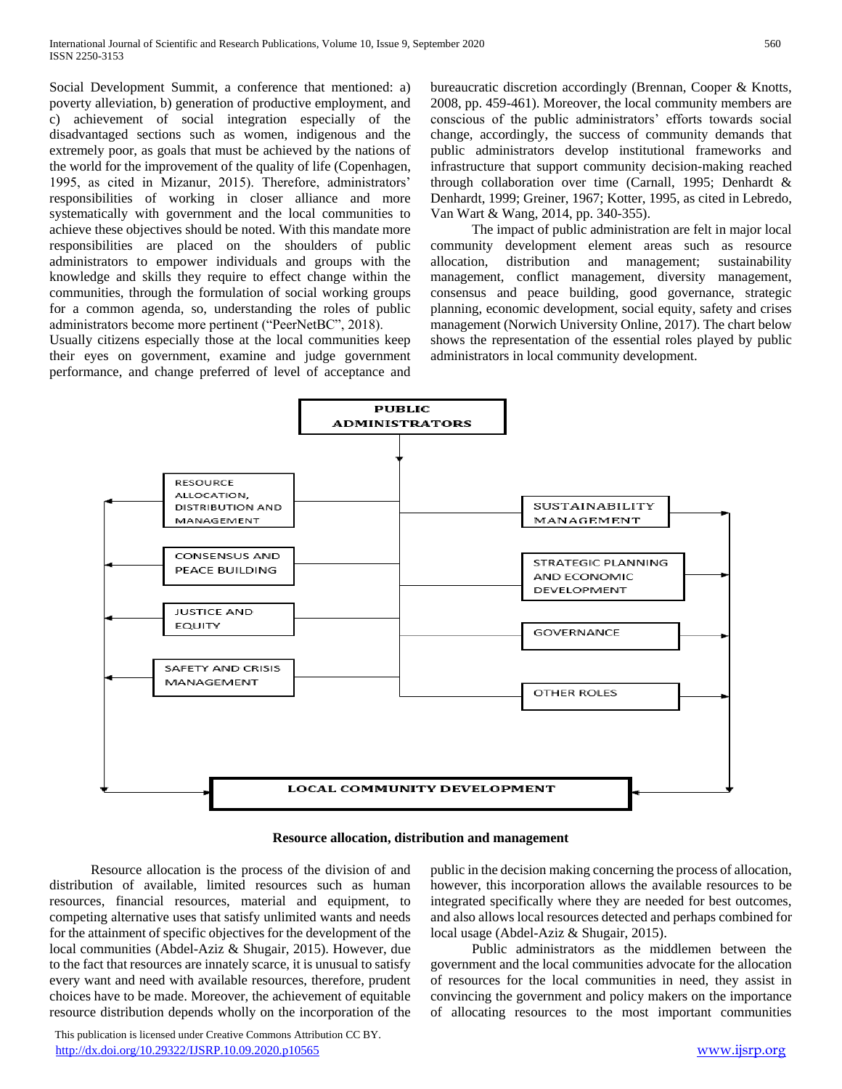Social Development Summit, a conference that mentioned: a) poverty alleviation, b) generation of productive employment, and c) achievement of social integration especially of the disadvantaged sections such as women, indigenous and the extremely poor, as goals that must be achieved by the nations of the world for the improvement of the quality of life (Copenhagen, 1995, as cited in Mizanur, 2015). Therefore, administrators' responsibilities of working in closer alliance and more systematically with government and the local communities to achieve these objectives should be noted. With this mandate more responsibilities are placed on the shoulders of public administrators to empower individuals and groups with the knowledge and skills they require to effect change within the communities, through the formulation of social working groups for a common agenda, so, understanding the roles of public administrators become more pertinent ("PeerNetBC", 2018).

Usually citizens especially those at the local communities keep their eyes on government, examine and judge government performance, and change preferred of level of acceptance and bureaucratic discretion accordingly (Brennan, Cooper & Knotts, 2008, pp. 459-461). Moreover, the local community members are conscious of the public administrators' efforts towards social change, accordingly, the success of community demands that public administrators develop institutional frameworks and infrastructure that support community decision-making reached through collaboration over time (Carnall, 1995; Denhardt & Denhardt, 1999; Greiner, 1967; Kotter, 1995, as cited in Lebredo, Van Wart & Wang, 2014, pp. 340-355).

 The impact of public administration are felt in major local community development element areas such as resource allocation, distribution and management; sustainability management, conflict management, diversity management, consensus and peace building, good governance, strategic planning, economic development, social equity, safety and crises management (Norwich University Online, 2017). The chart below shows the representation of the essential roles played by public administrators in local community development.





 Resource allocation is the process of the division of and distribution of available, limited resources such as human resources, financial resources, material and equipment, to competing alternative uses that satisfy unlimited wants and needs for the attainment of specific objectives for the development of the local communities (Abdel-Aziz & Shugair, 2015). However, due to the fact that resources are innately scarce, it is unusual to satisfy every want and need with available resources, therefore, prudent choices have to be made. Moreover, the achievement of equitable resource distribution depends wholly on the incorporation of the

public in the decision making concerning the process of allocation, however, this incorporation allows the available resources to be integrated specifically where they are needed for best outcomes, and also allows local resources detected and perhaps combined for local usage (Abdel-Aziz & Shugair, 2015).

 Public administrators as the middlemen between the government and the local communities advocate for the allocation of resources for the local communities in need, they assist in convincing the government and policy makers on the importance of allocating resources to the most important communities

 This publication is licensed under Creative Commons Attribution CC BY. <http://dx.doi.org/10.29322/IJSRP.10.09.2020.p10565> [www.ijsrp.org](http://ijsrp.org/)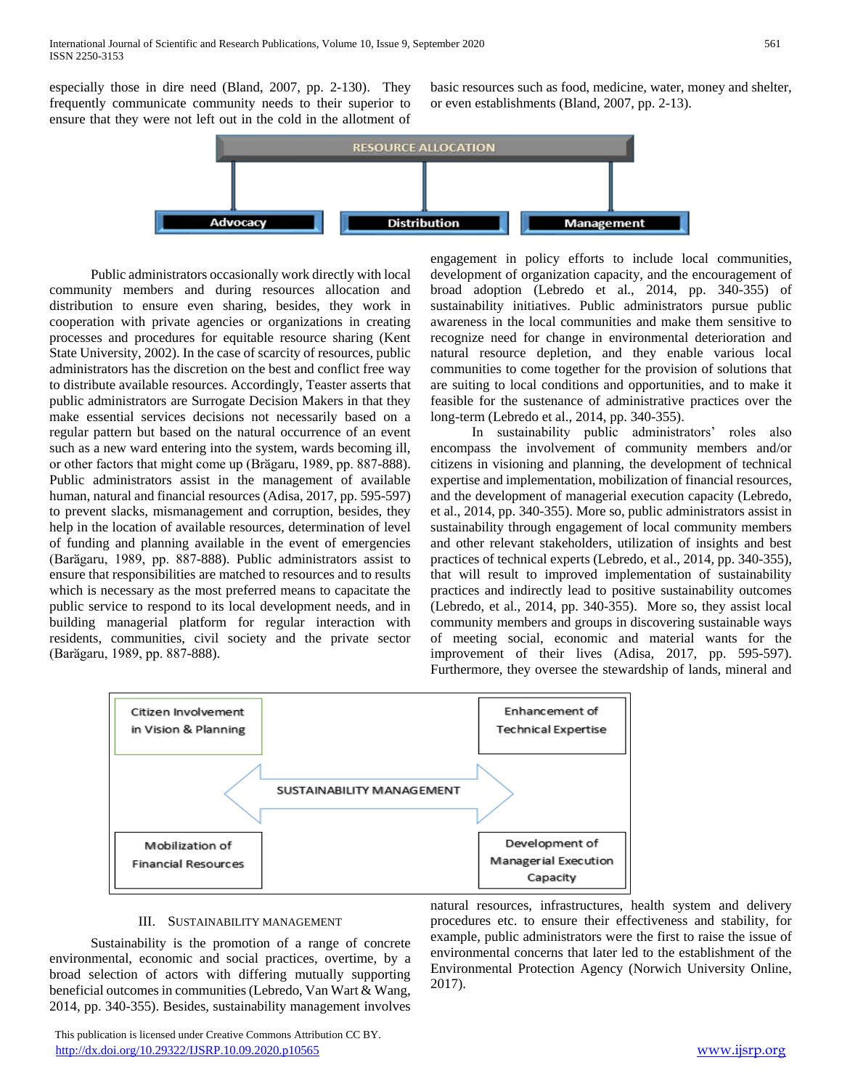especially those in dire need (Bland, 2007, pp. 2-130). They frequently communicate community needs to their superior to ensure that they were not left out in the cold in the allotment of

basic resources such as food, medicine, water, money and shelter, or even establishments (Bland, 2007, pp. 2-13).



 Public administrators occasionally work directly with local community members and during resources allocation and distribution to ensure even sharing, besides, they work in cooperation with private agencies or organizations in creating processes and procedures for equitable resource sharing (Kent State University, 2002). In the case of scarcity of resources, public administrators has the discretion on the best and conflict free way to distribute available resources. Accordingly, Teaster asserts that public administrators are Surrogate Decision Makers in that they make essential services decisions not necessarily based on a regular pattern but based on the natural occurrence of an event such as a new ward entering into the system, wards becoming ill, or other factors that might come up (Brӑgaru, 1989, pp. 887-888). Public administrators assist in the management of available human, natural and financial resources (Adisa, 2017, pp. 595-597) to prevent slacks, mismanagement and corruption, besides, they help in the location of available resources, determination of level of funding and planning available in the event of emergencies (Barӑgaru, 1989, pp. 887-888). Public administrators assist to ensure that responsibilities are matched to resources and to results which is necessary as the most preferred means to capacitate the public service to respond to its local development needs, and in building managerial platform for regular interaction with residents, communities, civil society and the private sector (Barӑgaru, 1989, pp. 887-888).

engagement in policy efforts to include local communities, development of organization capacity, and the encouragement of broad adoption (Lebredo et al., 2014, pp. 340-355) of sustainability initiatives. Public administrators pursue public awareness in the local communities and make them sensitive to recognize need for change in environmental deterioration and natural resource depletion, and they enable various local communities to come together for the provision of solutions that are suiting to local conditions and opportunities, and to make it feasible for the sustenance of administrative practices over the long-term (Lebredo et al., 2014, pp. 340-355).

 In sustainability public administrators' roles also encompass the involvement of community members and/or citizens in visioning and planning, the development of technical expertise and implementation, mobilization of financial resources, and the development of managerial execution capacity (Lebredo, et al., 2014, pp. 340-355). More so, public administrators assist in sustainability through engagement of local community members and other relevant stakeholders, utilization of insights and best practices of technical experts (Lebredo, et al., 2014, pp. 340-355), that will result to improved implementation of sustainability practices and indirectly lead to positive sustainability outcomes (Lebredo, et al., 2014, pp. 340-355). More so, they assist local community members and groups in discovering sustainable ways of meeting social, economic and material wants for the improvement of their lives (Adisa, 2017, pp. 595-597). Furthermore, they oversee the stewardship of lands, mineral and



## III. SUSTAINABILITY MANAGEMENT

 Sustainability is the promotion of a range of concrete environmental, economic and social practices, overtime, by a broad selection of actors with differing mutually supporting beneficial outcomes in communities (Lebredo, Van Wart & Wang, 2014, pp. 340-355). Besides, sustainability management involves natural resources, infrastructures, health system and delivery procedures etc. to ensure their effectiveness and stability, for example, public administrators were the first to raise the issue of environmental concerns that later led to the establishment of the Environmental Protection Agency (Norwich University Online, 2017).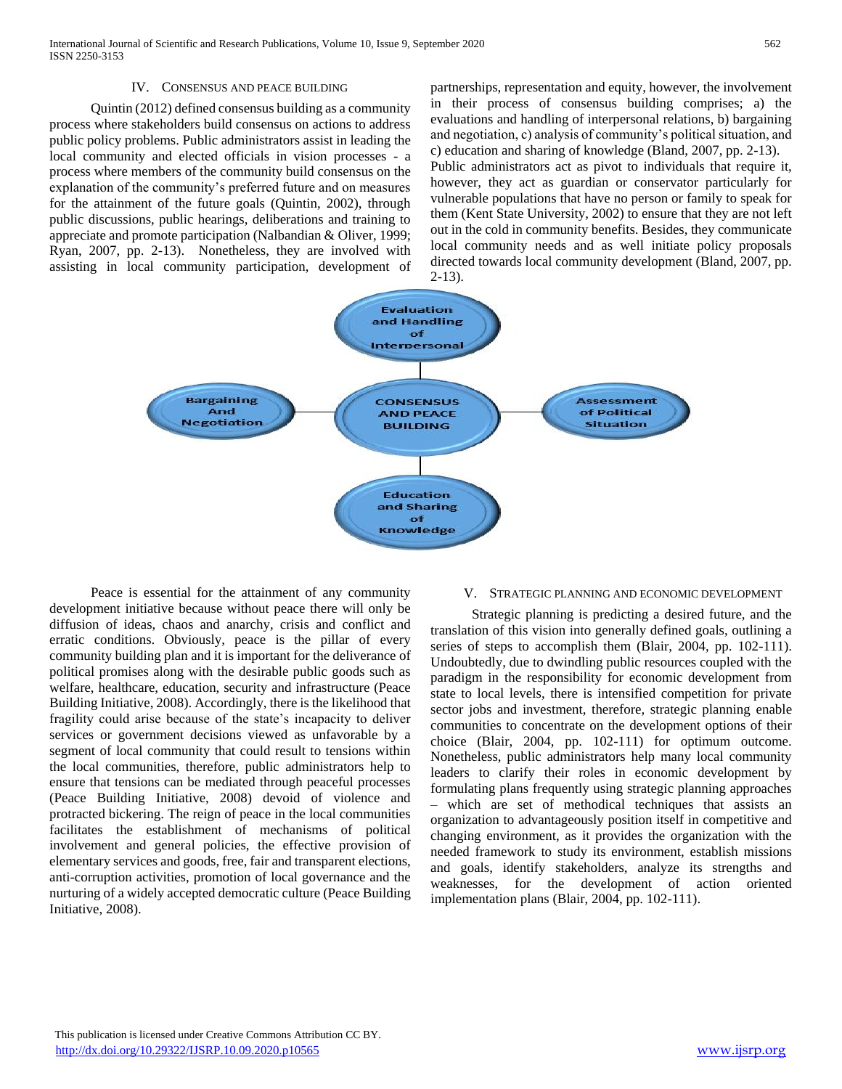## IV. CONSENSUS AND PEACE BUILDING

 Quintin (2012) defined consensus building as a community process where stakeholders build consensus on actions to address public policy problems. Public administrators assist in leading the local community and elected officials in vision processes - a process where members of the community build consensus on the explanation of the community's preferred future and on measures for the attainment of the future goals (Quintin, 2002), through public discussions, public hearings, deliberations and training to appreciate and promote participation (Nalbandian & Oliver, 1999; Ryan, 2007, pp. 2-13). Nonetheless, they are involved with assisting in local community participation, development of partnerships, representation and equity, however, the involvement in their process of consensus building comprises; a) the evaluations and handling of interpersonal relations, b) bargaining and negotiation, c) analysis of community's political situation, and c) education and sharing of knowledge (Bland, 2007, pp. 2-13). Public administrators act as pivot to individuals that require it, however, they act as guardian or conservator particularly for vulnerable populations that have no person or family to speak for them (Kent State University, 2002) to ensure that they are not left out in the cold in community benefits. Besides, they communicate local community needs and as well initiate policy proposals directed towards local community development (Bland, 2007, pp. 2-13).



 Peace is essential for the attainment of any community development initiative because without peace there will only be diffusion of ideas, chaos and anarchy, crisis and conflict and erratic conditions. Obviously, peace is the pillar of every community building plan and it is important for the deliverance of political promises along with the desirable public goods such as welfare, healthcare, education, security and infrastructure (Peace Building Initiative, 2008). Accordingly, there is the likelihood that fragility could arise because of the state's incapacity to deliver services or government decisions viewed as unfavorable by a segment of local community that could result to tensions within the local communities, therefore, public administrators help to ensure that tensions can be mediated through peaceful processes (Peace Building Initiative, 2008) devoid of violence and protracted bickering. The reign of peace in the local communities facilitates the establishment of mechanisms of political involvement and general policies, the effective provision of elementary services and goods, free, fair and transparent elections, anti-corruption activities, promotion of local governance and the nurturing of a widely accepted democratic culture (Peace Building Initiative, 2008).

#### V. STRATEGIC PLANNING AND ECONOMIC DEVELOPMENT

 Strategic planning is predicting a desired future, and the translation of this vision into generally defined goals, outlining a series of steps to accomplish them (Blair, 2004, pp. 102-111). Undoubtedly, due to dwindling public resources coupled with the paradigm in the responsibility for economic development from state to local levels, there is intensified competition for private sector jobs and investment, therefore, strategic planning enable communities to concentrate on the development options of their choice (Blair, 2004, pp. 102-111) for optimum outcome. Nonetheless, public administrators help many local community leaders to clarify their roles in economic development by formulating plans frequently using strategic planning approaches – which are set of methodical techniques that assists an organization to advantageously position itself in competitive and changing environment, as it provides the organization with the needed framework to study its environment, establish missions and goals, identify stakeholders, analyze its strengths and weaknesses, for the development of action oriented implementation plans (Blair, 2004, pp. 102-111).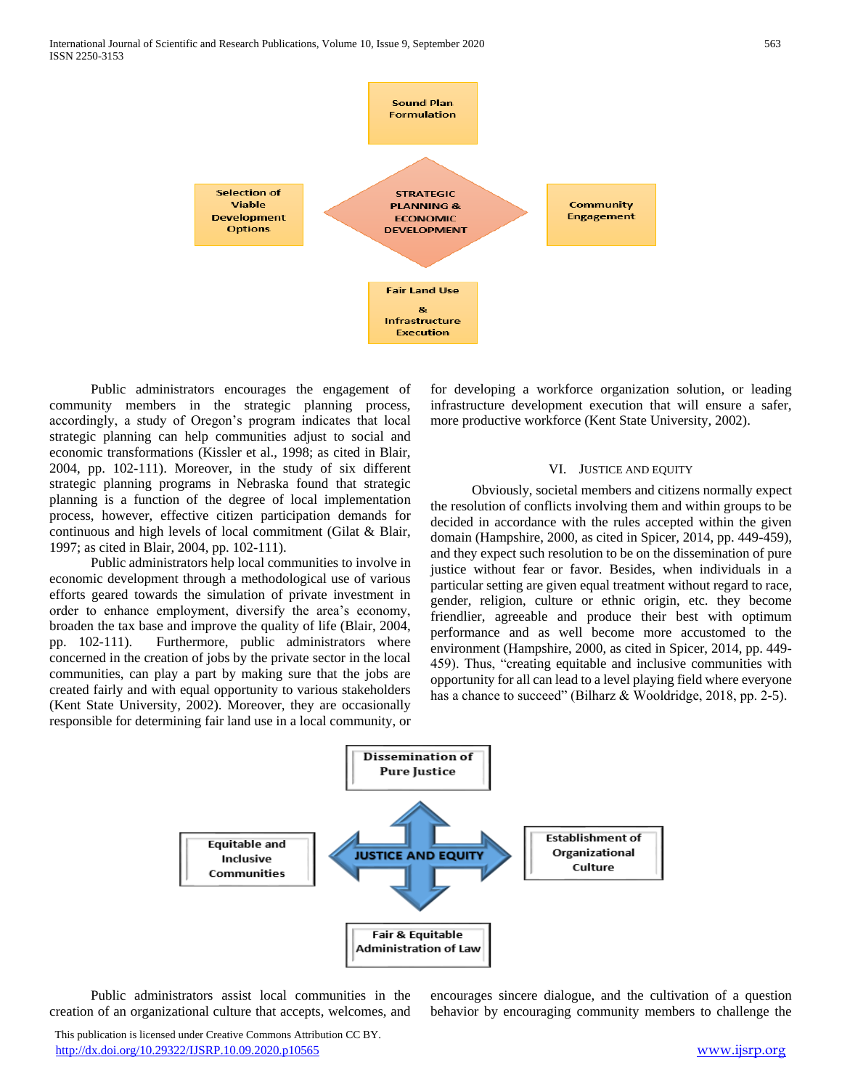

 Public administrators encourages the engagement of community members in the strategic planning process, accordingly, a study of Oregon's program indicates that local strategic planning can help communities adjust to social and economic transformations (Kissler et al., 1998; as cited in Blair, 2004, pp. 102-111). Moreover, in the study of six different strategic planning programs in Nebraska found that strategic planning is a function of the degree of local implementation process, however, effective citizen participation demands for continuous and high levels of local commitment (Gilat & Blair, 1997; as cited in Blair, 2004, pp. 102-111).

 Public administrators help local communities to involve in economic development through a methodological use of various efforts geared towards the simulation of private investment in order to enhance employment, diversify the area's economy, broaden the tax base and improve the quality of life (Blair, 2004, pp. 102-111). Furthermore, public administrators where concerned in the creation of jobs by the private sector in the local communities, can play a part by making sure that the jobs are created fairly and with equal opportunity to various stakeholders (Kent State University, 2002). Moreover, they are occasionally responsible for determining fair land use in a local community, or

for developing a workforce organization solution, or leading infrastructure development execution that will ensure a safer, more productive workforce (Kent State University, 2002).

## VI. JUSTICE AND EQUITY

 Obviously, societal members and citizens normally expect the resolution of conflicts involving them and within groups to be decided in accordance with the rules accepted within the given domain (Hampshire, 2000, as cited in Spicer, 2014, pp. 449-459), and they expect such resolution to be on the dissemination of pure justice without fear or favor. Besides, when individuals in a particular setting are given equal treatment without regard to race, gender, religion, culture or ethnic origin, etc. they become friendlier, agreeable and produce their best with optimum performance and as well become more accustomed to the environment (Hampshire, 2000, as cited in Spicer, 2014, pp. 449- 459). Thus, "creating equitable and inclusive communities with opportunity for all can lead to a level playing field where everyone has a chance to succeed" (Bilharz & Wooldridge, 2018, pp. 2-5).



 Public administrators assist local communities in the creation of an organizational culture that accepts, welcomes, and encourages sincere dialogue, and the cultivation of a question behavior by encouraging community members to challenge the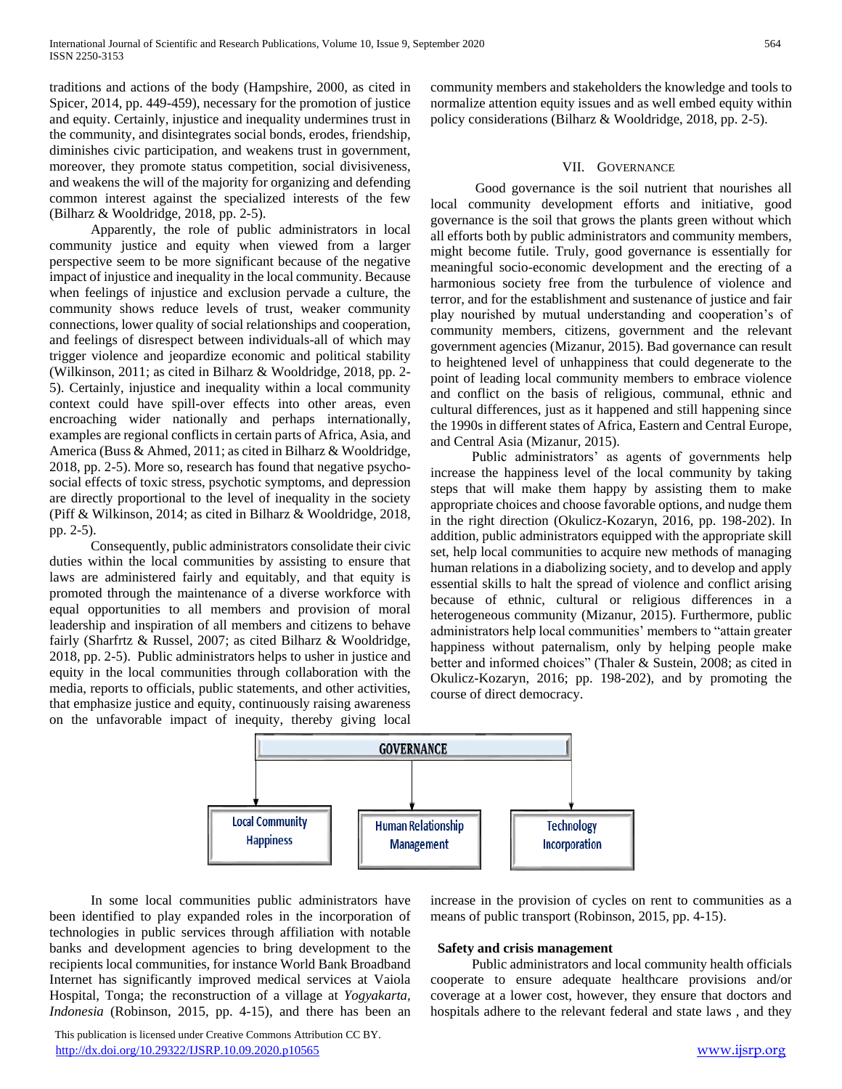traditions and actions of the body (Hampshire, 2000, as cited in Spicer, 2014, pp. 449-459), necessary for the promotion of justice and equity. Certainly, injustice and inequality undermines trust in the community, and disintegrates social bonds, erodes, friendship, diminishes civic participation, and weakens trust in government, moreover, they promote status competition, social divisiveness, and weakens the will of the majority for organizing and defending common interest against the specialized interests of the few (Bilharz & Wooldridge, 2018, pp. 2-5).

 Apparently, the role of public administrators in local community justice and equity when viewed from a larger perspective seem to be more significant because of the negative impact of injustice and inequality in the local community. Because when feelings of injustice and exclusion pervade a culture, the community shows reduce levels of trust, weaker community connections, lower quality of social relationships and cooperation, and feelings of disrespect between individuals-all of which may trigger violence and jeopardize economic and political stability (Wilkinson, 2011; as cited in Bilharz & Wooldridge, 2018, pp. 2- 5). Certainly, injustice and inequality within a local community context could have spill-over effects into other areas, even encroaching wider nationally and perhaps internationally, examples are regional conflicts in certain parts of Africa, Asia, and America (Buss & Ahmed, 2011; as cited in Bilharz & Wooldridge, 2018, pp. 2-5). More so, research has found that negative psychosocial effects of toxic stress, psychotic symptoms, and depression are directly proportional to the level of inequality in the society (Piff & Wilkinson, 2014; as cited in Bilharz & Wooldridge, 2018, pp. 2-5).

 Consequently, public administrators consolidate their civic duties within the local communities by assisting to ensure that laws are administered fairly and equitably, and that equity is promoted through the maintenance of a diverse workforce with equal opportunities to all members and provision of moral leadership and inspiration of all members and citizens to behave fairly (Sharfrtz & Russel, 2007; as cited Bilharz & Wooldridge, 2018, pp. 2-5). Public administrators helps to usher in justice and equity in the local communities through collaboration with the media, reports to officials, public statements, and other activities, that emphasize justice and equity, continuously raising awareness on the unfavorable impact of inequity, thereby giving local

community members and stakeholders the knowledge and tools to normalize attention equity issues and as well embed equity within policy considerations (Bilharz & Wooldridge, 2018, pp. 2-5).

## VII. GOVERNANCE

 Good governance is the soil nutrient that nourishes all local community development efforts and initiative, good governance is the soil that grows the plants green without which all efforts both by public administrators and community members, might become futile. Truly, good governance is essentially for meaningful socio-economic development and the erecting of a harmonious society free from the turbulence of violence and terror, and for the establishment and sustenance of justice and fair play nourished by mutual understanding and cooperation's of community members, citizens, government and the relevant government agencies (Mizanur, 2015). Bad governance can result to heightened level of unhappiness that could degenerate to the point of leading local community members to embrace violence and conflict on the basis of religious, communal, ethnic and cultural differences, just as it happened and still happening since the 1990s in different states of Africa, Eastern and Central Europe, and Central Asia (Mizanur, 2015).

 Public administrators' as agents of governments help increase the happiness level of the local community by taking steps that will make them happy by assisting them to make appropriate choices and choose favorable options, and nudge them in the right direction (Okulicz-Kozaryn, 2016, pp. 198-202). In addition, public administrators equipped with the appropriate skill set, help local communities to acquire new methods of managing human relations in a diabolizing society, and to develop and apply essential skills to halt the spread of violence and conflict arising because of ethnic, cultural or religious differences in a heterogeneous community (Mizanur, 2015). Furthermore, public administrators help local communities' members to "attain greater happiness without paternalism, only by helping people make better and informed choices" (Thaler & Sustein, 2008; as cited in Okulicz-Kozaryn, 2016; pp. 198-202), and by promoting the course of direct democracy.



 In some local communities public administrators have been identified to play expanded roles in the incorporation of technologies in public services through affiliation with notable banks and development agencies to bring development to the recipients local communities, for instance World Bank Broadband Internet has significantly improved medical services at Vaiola Hospital, Tonga; the reconstruction of a village at *Yogyakarta, Indonesia* (Robinson, 2015, pp. 4-15), and there has been an

 This publication is licensed under Creative Commons Attribution CC BY. <http://dx.doi.org/10.29322/IJSRP.10.09.2020.p10565> [www.ijsrp.org](http://ijsrp.org/)

increase in the provision of cycles on rent to communities as a means of public transport (Robinson, 2015, pp. 4-15).

## **Safety and crisis management**

 Public administrators and local community health officials cooperate to ensure adequate healthcare provisions and/or coverage at a lower cost, however, they ensure that doctors and hospitals adhere to the relevant federal and state laws , and they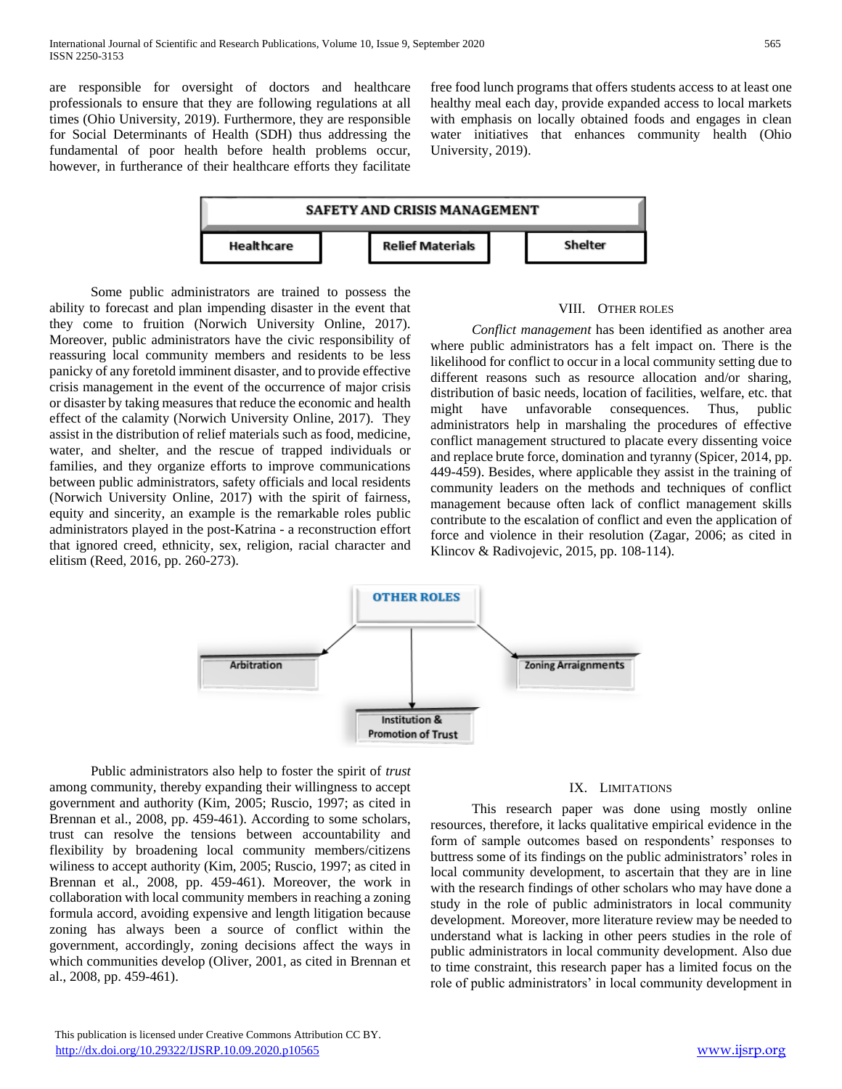are responsible for oversight of doctors and healthcare professionals to ensure that they are following regulations at all times (Ohio University, 2019). Furthermore, they are responsible for Social Determinants of Health (SDH) thus addressing the fundamental of poor health before health problems occur, however, in furtherance of their healthcare efforts they facilitate

free food lunch programs that offers students access to at least one healthy meal each day, provide expanded access to local markets with emphasis on locally obtained foods and engages in clean water initiatives that enhances community health (Ohio University, 2019).



 Some public administrators are trained to possess the ability to forecast and plan impending disaster in the event that they come to fruition (Norwich University Online, 2017). Moreover, public administrators have the civic responsibility of reassuring local community members and residents to be less panicky of any foretold imminent disaster, and to provide effective crisis management in the event of the occurrence of major crisis or disaster by taking measures that reduce the economic and health effect of the calamity (Norwich University Online, 2017). They assist in the distribution of relief materials such as food, medicine, water, and shelter, and the rescue of trapped individuals or families, and they organize efforts to improve communications between public administrators, safety officials and local residents (Norwich University Online, 2017) with the spirit of fairness, equity and sincerity, an example is the remarkable roles public administrators played in the post-Katrina - a reconstruction effort that ignored creed, ethnicity, sex, religion, racial character and elitism (Reed, 2016, pp. 260-273).

#### VIII. OTHER ROLES

 *Conflict management* has been identified as another area where public administrators has a felt impact on. There is the likelihood for conflict to occur in a local community setting due to different reasons such as resource allocation and/or sharing, distribution of basic needs, location of facilities, welfare, etc. that might have unfavorable consequences. Thus, public administrators help in marshaling the procedures of effective conflict management structured to placate every dissenting voice and replace brute force, domination and tyranny (Spicer, 2014, pp. 449-459). Besides, where applicable they assist in the training of community leaders on the methods and techniques of conflict management because often lack of conflict management skills contribute to the escalation of conflict and even the application of force and violence in their resolution (Zagar, 2006; as cited in Klincov & Radivojevic, 2015, pp. 108-114).



 Public administrators also help to foster the spirit of *trust* among community, thereby expanding their willingness to accept government and authority (Kim, 2005; Ruscio, 1997; as cited in Brennan et al., 2008, pp. 459-461). According to some scholars, trust can resolve the tensions between accountability and flexibility by broadening local community members/citizens wiliness to accept authority (Kim, 2005; Ruscio, 1997; as cited in Brennan et al., 2008, pp. 459-461). Moreover, the work in collaboration with local community members in reaching a zoning formula accord, avoiding expensive and length litigation because zoning has always been a source of conflict within the government, accordingly, zoning decisions affect the ways in which communities develop (Oliver, 2001, as cited in Brennan et al., 2008, pp. 459-461).

## IX. LIMITATIONS

 This research paper was done using mostly online resources, therefore, it lacks qualitative empirical evidence in the form of sample outcomes based on respondents' responses to buttress some of its findings on the public administrators' roles in local community development, to ascertain that they are in line with the research findings of other scholars who may have done a study in the role of public administrators in local community development. Moreover, more literature review may be needed to understand what is lacking in other peers studies in the role of public administrators in local community development. Also due to time constraint, this research paper has a limited focus on the role of public administrators' in local community development in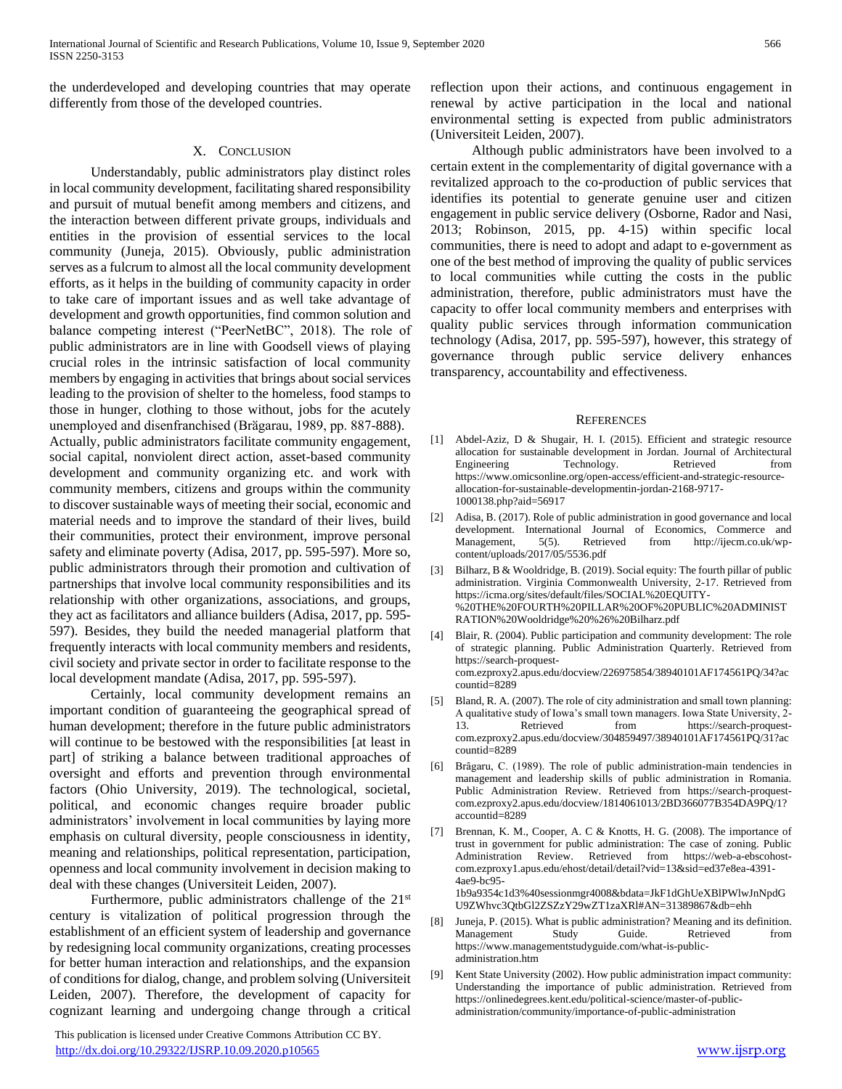the underdeveloped and developing countries that may operate differently from those of the developed countries.

# X. CONCLUSION

 Understandably, public administrators play distinct roles in local community development, facilitating shared responsibility and pursuit of mutual benefit among members and citizens, and the interaction between different private groups, individuals and entities in the provision of essential services to the local community (Juneja, 2015). Obviously, public administration serves as a fulcrum to almost all the local community development efforts, as it helps in the building of community capacity in order to take care of important issues and as well take advantage of development and growth opportunities, find common solution and balance competing interest ("PeerNetBC", 2018). The role of public administrators are in line with Goodsell views of playing crucial roles in the intrinsic satisfaction of local community members by engaging in activities that brings about social services leading to the provision of shelter to the homeless, food stamps to those in hunger, clothing to those without, jobs for the acutely unemployed and disenfranchised (Brăgarau, 1989, pp. 887-888). Actually, public administrators facilitate community engagement, social capital, nonviolent direct action, asset-based community development and community organizing etc. and work with community members, citizens and groups within the community to discover sustainable ways of meeting their social, economic and material needs and to improve the standard of their lives, build their communities, protect their environment, improve personal safety and eliminate poverty (Adisa, 2017, pp. 595-597). More so, public administrators through their promotion and cultivation of partnerships that involve local community responsibilities and its relationship with other organizations, associations, and groups, they act as facilitators and alliance builders (Adisa, 2017, pp. 595- 597). Besides, they build the needed managerial platform that frequently interacts with local community members and residents, civil society and private sector in order to facilitate response to the local development mandate (Adisa, 2017, pp. 595-597).

 Certainly, local community development remains an important condition of guaranteeing the geographical spread of human development; therefore in the future public administrators will continue to be bestowed with the responsibilities [at least in part] of striking a balance between traditional approaches of oversight and efforts and prevention through environmental factors (Ohio University, 2019). The technological, societal, political, and economic changes require broader public administrators' involvement in local communities by laying more emphasis on cultural diversity, people consciousness in identity, meaning and relationships, political representation, participation, openness and local community involvement in decision making to deal with these changes (Universiteit Leiden, 2007).

Furthermore, public administrators challenge of the 21<sup>st</sup> century is vitalization of political progression through the establishment of an efficient system of leadership and governance by redesigning local community organizations, creating processes for better human interaction and relationships, and the expansion of conditions for dialog, change, and problem solving (Universiteit Leiden, 2007). Therefore, the development of capacity for cognizant learning and undergoing change through a critical

 This publication is licensed under Creative Commons Attribution CC BY. <http://dx.doi.org/10.29322/IJSRP.10.09.2020.p10565> [www.ijsrp.org](http://ijsrp.org/)

reflection upon their actions, and continuous engagement in renewal by active participation in the local and national environmental setting is expected from public administrators (Universiteit Leiden, 2007).

 Although public administrators have been involved to a certain extent in the complementarity of digital governance with a revitalized approach to the co-production of public services that identifies its potential to generate genuine user and citizen engagement in public service delivery (Osborne, Rador and Nasi, 2013; Robinson, 2015, pp. 4-15) within specific local communities, there is need to adopt and adapt to e-government as one of the best method of improving the quality of public services to local communities while cutting the costs in the public administration, therefore, public administrators must have the capacity to offer local community members and enterprises with quality public services through information communication technology (Adisa, 2017, pp. 595-597), however, this strategy of governance through public service delivery enhances transparency, accountability and effectiveness.

## **REFERENCES**

- [1] Abdel-Aziz, D & Shugair, H. I. (2015). Efficient and strategic resource allocation for sustainable development in Jordan. Journal of Architectural Engineering Technology. Retrieved from https://www.omicsonline.org/open-access/efficient-and-strategic-resourceallocation-for-sustainable-developmentin-jordan-2168-9717- 1000138.php?aid=56917
- [2] Adisa, B. (2017). Role of public administration in good governance and local development. International Journal of Economics, Commerce and Management, 5(5). Retrieved from http://ijecm.co.uk/wpcontent/uploads/2017/05/5536.pdf
- [3] Bilharz, B & Wooldridge, B. (2019). Social equity: The fourth pillar of public administration. Virginia Commonwealth University, 2-17. Retrieved from https://icma.org/sites/default/files/SOCIAL%20EQUITY- %20THE%20FOURTH%20PILLAR%20OF%20PUBLIC%20ADMINIST RATION%20Wooldridge%20%26%20Bilharz.pdf
- [4] Blair, R. (2004). Public participation and community development: The role of strategic planning. Public Administration Quarterly. Retrieved from https://search-proquestcom.ezproxy2.apus.edu/docview/226975854/38940101AF174561PQ/34?ac countid=8289
- [5] Bland, R. A. (2007). The role of city administration and small town planning: A qualitative study of Iowa's small town managers. Iowa State University, 2- 13. Retrieved from https://search-proquestcom.ezproxy2.apus.edu/docview/304859497/38940101AF174561PQ/31?ac countid=8289
- [6] Brâgaru, C. (1989). The role of public administration-main tendencies in management and leadership skills of public administration in Romania. Public Administration Review. Retrieved from https://search-proquestcom.ezproxy2.apus.edu/docview/1814061013/2BD366077B354DA9PQ/1? accountid=8289
- [7] Brennan, K. M., Cooper, A. C & Knotts, H. G. (2008). The importance of trust in government for public administration: The case of zoning. Public Administration Review. Retrieved from https://web-a-ebscohostcom.ezproxy1.apus.edu/ehost/detail/detail?vid=13&sid=ed37e8ea-4391- 4ae9-bc95- 1b9a9354c1d3%40sessionmgr4008&bdata=JkF1dGhUeXBlPWlwJnNpdG U9ZWhvc3QtbGl2ZSZzY29wZT1zaXRl#AN=31389867&db=ehh
- [8] Juneja, P. (2015). What is public administration? Meaning and its definition. Management Study Guide. Retrieved from https://www.managementstudyguide.com/what-is-publicadministration.htm
- [9] Kent State University (2002). How public administration impact community: Understanding the importance of public administration. Retrieved from https://onlinedegrees.kent.edu/political-science/master-of-publicadministration/community/importance-of-public-administration